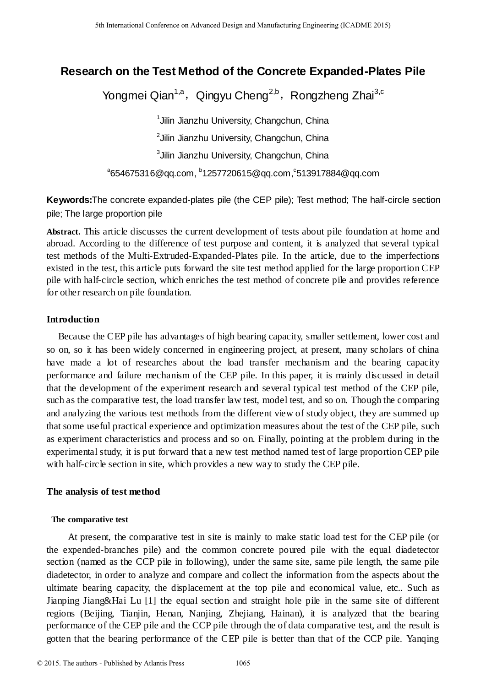# **Research on the Test Method of the Concrete Expanded-Plates Pile**

Yongmei Qian<sup>1,a</sup>, Qingyu Cheng<sup>2,b</sup>, Rongzheng Zhai<sup>3,c</sup>

1 Jilin Jianzhu University, Changchun, China <sup>2</sup>Jilin Jianzhu University, Changchun, China  $3$ Jilin Jianzhu University, Changchun, China

 $^{\circ}$ 654675316@qq.com,  $^{\circ}$ 1257720615@qq.com, $^{\circ}$ 513917884@qq.com

**Keywords:**The concrete expanded-plates pile (the CEP pile); Test method; The half-circle section pile; The large proportion pile

**Abstract.** This article discusses the current development of tests about pile foundation at home and abroad. According to the difference of test purpose and content, it is analyzed that several typical test methods of the Multi-Extruded-Expanded-Plates pile. In the article, due to the imperfections existed in the test, this article puts forward the site test method applied for the large proportion CEP pile with half-circle section, which enriches the test method of concrete pile and provides reference for other research on pile foundation.

# **Introduction**

Because the CEP pile has advantages of high bearing capacity, smaller settlement, lower cost and so on, so it has been widely concerned in engineering project, at present, many scholars of china have made a lot of researches about the load transfer mechanism and the bearing capacity performance and failure mechanism of the CEP pile. In this paper, it is mainly discussed in detail that the development of the experiment research and several typical test method of the CEP pile, such as the comparative test, the load transfer law test, model test, and so on. Though the comparing and analyzing the various test methods from the different view of study object, they are summed up that some useful practical experience and optimization measures about the test of the CEP pile, such as experiment characteristics and process and so on. Finally, pointing at the problem during in the experimental study, it is put forward that a new test method named test of large proportion CEP pile with half-circle section in site, which provides a new way to study the CEP pile. 5th Isamideal Conference on Advanced Design and Manufacturing Engenering CAE Design and Conference of the Conference of the Conference of Expanding 2n and 2015. The manufacturing the manufacturing Conference on Advanced

# **The analysis of test method**

# **The comparative test**

 At present, the comparative test in site is mainly to make static load test for the CEP pile (or the expended-branches pile) and the common concrete poured pile with the equal diadetector section (named as the CCP pile in following), under the same site, same pile length, the same pile diadetector, in order to analyze and compare and collect the information from the aspects about the ultimate bearing capacity, the displacement at the top pile and economical value, etc.. Such as Jianping Jiang&Hai Lu [1] the equal section and straight hole pile in the same site of different regions (Beijing, Tianjin, Henan, Nanjing, Zhejiang, Hainan), it is analyzed that the bearing performance of the CEP pile and the CCP pile through the of data comparative test, and the result is gotten that the bearing performance of the CEP pile is better than that of the CCP pile. Yanqing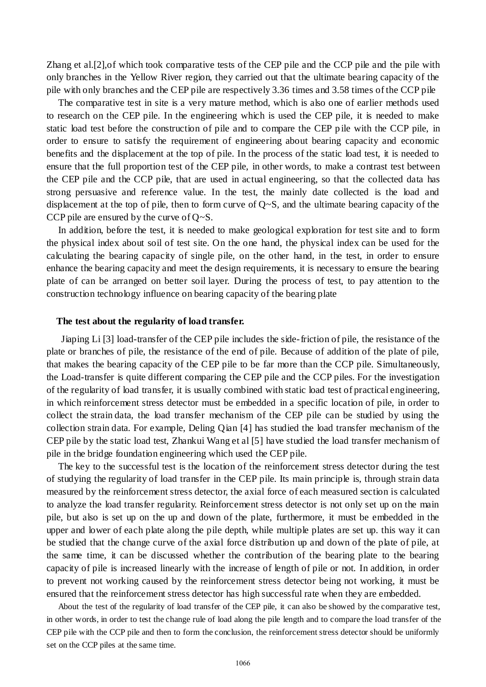Zhang et al.[2],of which took [comparative](javascript:void(0);) tests of the CEP pile and the CCP pile and the pile with only branches in the Yellow River region, they carried out that the ultimate bearing capacity of the pile with only branches and the CEP pile are respectively 3.36 times and 3.58 times of the CCP pile

The comparative test in site is a very mature method, which is also one of earlier methods used to research on the CEP pile. In the engineering which is used the CEP pile, it is needed to make static load test before the construction of pile and to compare the CEP p ile with the CCP pile, in order to ensure to satisfy the requirement of engineering about bearing capacity and economic benefits and the displacement at the top of pile. In the process of the static load test, it is needed to ensure that the full proportion test of the CEP pile, [in](javascript:void(0);) [other](javascript:void(0);) [words,](javascript:void(0);) to make a contrast test between the CEP pile and the CCP pile, that are used in actual engineering, so that the collected data has strong persuasive and reference value. In the test, the mainly date collected is the load and displacement at the top of pile, then to form curve of  $Q \sim S$ , and the ultimate bearing capacity of the CCP pile are ensured by the curve of  $Q \sim S$ .

In addition, before the test, it is needed to make geological exploration for test site and to form the physical index about [soil](javascript:void(0);) of test site. On the one hand, the physical index can be used for the calculating the bearing capacity of single pile, on the other hand, in the test, in order to ensure enhance the bearing capacity and meet the design requirements, it is necessary to ensure the bearing plate of can be arranged on better soil [layer.](javascript:void(0);) During the process of test, to pay attention to the construction technology [influence on](javascript:void(0);) bearing capacity of the bearing plate

#### **The test about the regularity of load transfer.**

 Jiaping Li [3] load-transfer of the CEP pile includes the side-friction of pile, the resistance of the plate or branches of pile, the resistance of the end of pile. Because of addition of the plate of pile, that makes the bearing capacity of the CEP pile to be far more than the CCP pile. [Simultaneously,](javascript:void(0);) the Load-transfer is quite different comparing the CEP pile and the CCP piles. For the investigation of the regularity of load transfer, it is usually combined with static load test of practical engineering, in which reinforcement stress detector must be embedded in a specific location of pile, in order to collect the strain data, the load transfer mechanism of the CEP pile can be studied by using the collection strain data. For example, Deling Qian [4] has studied the load transfer mechanism of the CEP pile by the static load test, Zhankui Wang et al [5] have studied the load transfer mechanism of pile in the bridge foundation engineering which used the CEP pile.

The key to the successful test is the location of the reinforcement stress detector during the test of studying the regularity of load transfer in the CEP pile. Its main principle is, through strain data measured by the reinforcement stress detector, the axial force of each measured section is calculated to analyze the load transfer regularity. Reinforcement stress detector is not only set up on the main pile, but also is set up on the up and down of the plate, furthermore, it must be embedded in the upper and lower of each plate along the pile depth, while multiple plates are set up. this way it can be studied that the change curve of the axial force distribution up and down of the plate of pile, at the same time, it can be discussed whether the contribution of the bearing plate to the bearing capacity of pile is increased linearly with the increase of length of pile or not. In addition, in order to prevent not working caused by the reinforcement stress detector being not working, it must be ensured that the reinforcement stress detector has high successful rate when they are embedded.

About the test of the regularity of load transfer of the CEP pile, it can also be showed by the comparative test, in other words, in order to test the change rule of load along the pile length and to compare the load transfer of the CEP pile with the CCP pile and then to form the conclusion, the reinforcement stress detector should be uniformly set on the CCP piles at the same time.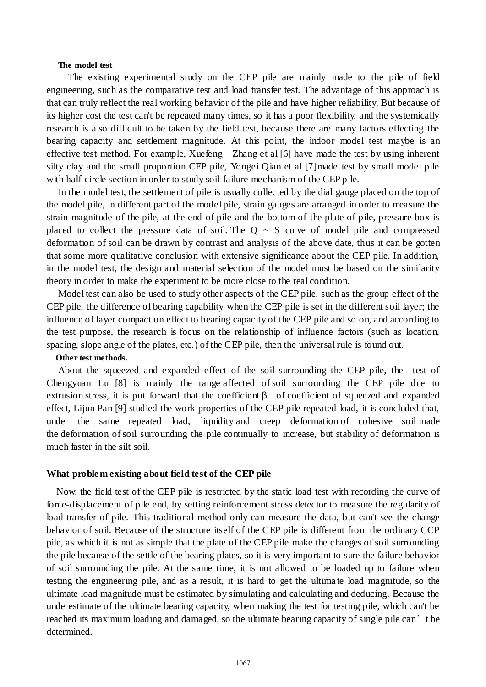#### **The model test**

 The existing experimental study on the CEP pile are mainly made to the pile of field engineering, such as the comparative test and load transfer test. The advantage of this approach is that can truly reflect the real working behavior of the pile and have higher reliability. But because of its higher cost the test can't be repeated many times, so it has a poor flexibility, and the systemically research is also difficult to be taken by the field test, because there are many factors effecting the bearing capacity and settlement magnitude. At this point, the indoor model test maybe is an effective test method. For example, Xuefeng Zhang et al [6] have made the test by using inherent silty clay and the small proportion CEP pile, Yongei Qian et al [7]made test by small model pile with half-circle section in order to study soil failure mechanism of the CEP pile.

In the model test, the settlement of pile is usually collected by the dial gauge placed on the top of the model pile, in different part of the model pile, strain gauges are arranged in order to measure the strain magnitude of the pile, at the end of pile and the bottom of the plate of pile, pressure box is placed to collect the pressure data of soil. The  $Q \sim S$  curve of model pile and compressed deformation of soil can be drawn by contrast and analysis of the above date, thus it can be gotten that some more qualitative conclusion with extensive significance about the CEP pile. In addition, in the model test, the design and material selection of the model must be based on the similarity theory in order to make the experiment to be more close to the real condition.

Model test can also be used to study other aspects of the CEP pile, such as the group effect of the CEP pile, the difference of bearing capability when the CEP pile is set in the different soil layer; the influence of layer compaction effect to bearing capacity of the CEP pile and so on, and according to the test purpose, the research is focus on the relationship of influence factors (such as location, spacing, slope angle of the plates, etc.) of the CEP pile, then the universal rule is found out.

# **Other test methods.**

About the squeezed and expanded effect of the soil surrounding the CEP pile, the test of Chengyuan Lu [8] is mainly the range affected of soil surrounding the CEP pile due to extrusion stress, it is put forward that the [coefficient](javascript:void(0);)  $\beta$  [of](javascript:void(0);) coefficient of squeezed and expanded effect, Lijun Pan [9] studied the work properties of the CEP pile repeated load, it is concluded that, under the same repeated load, liquidity and creep deformation of cohesive soil made the deformation of soil surrounding the pile continually to increase, but stability of deformation is much faster in the silt [soil.](javascript:void(0);)

#### **What problem existing about field test of the CEP pile**

 Now, the field test of the CEP pile is restricted by the static load test with recording the curve of force-displacement of pile end, by setting reinforcement stress detector to measure the regularity of load transfer of pile. This traditional method only can measure the data, but can't see the change behavior of soil. Because of the structure itself of the CEP pile is different from the ordinary CCP pile, as which it is not as simple that the plate of the CEP pile make the changes of soil surrounding the pile because of the settle of the bearing plates, so it is very important to sure the failure behavior of soil surrounding the pile. At the same time, it is not allowed to be loaded up to failure when testing the engineering pile, and as a result, it is hard to get the ultimate load magnitude, so the ultimate load magnitude must be estimated by simulating and calculating and deducing. Because the underestimate of the ultimate bearing capacity, when making the test for testing pile, which can't be reached its maximum loading and damaged, so the ultimate bearing capacity of single pile can't be determined.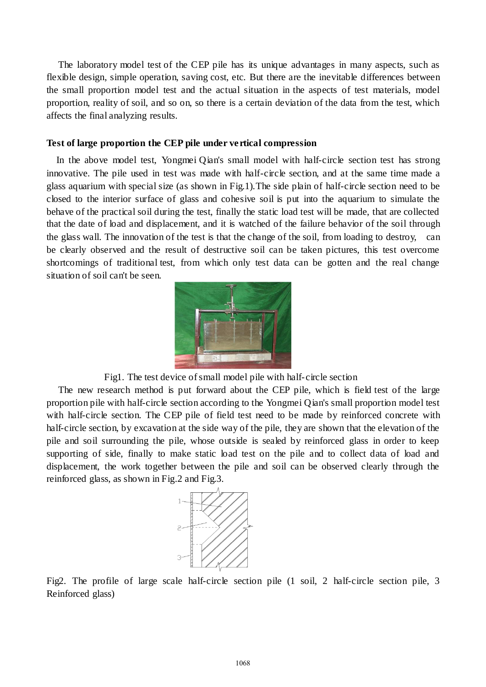The laboratory model test of the CEP pile has its unique advantages in many aspects, such as flexible design, simple operation, saving cost, etc. But there are the inevitable differences between the small proportion model test and the actual situation in the aspects of test materials, model proportion, reality of soil, and so on, so there is a certain deviation of the data from the test, which affects the final analyzing results.

### **Test of large proportion the CEP pile under vertical compression**

 In the above model test, Yongmei Qian's small model with half-circle section test has strong innovative. The pile used in test was made with half-circle section, and at the same time made a glass aquarium [with](javascript:void(0);) special size (as shown in Fig.1).The side plain of [half-](javascript:void(0);)circle [section](javascript:void(0);) need to be closed to the interior surface of glass and cohesive soil is put into the aquarium to simulate the behave of the practical soil during the test, finally the static load test will be made, that are collected that the date of load and displacement, and it is watched of the failure behavior of the soil through the glass wall. The innovation of the test is that the change of the soil, from loading to [destroy,](javascript:void(0);) can be clearly observed and the result of destructive soil can be taken pictures, this test overcome shortcomings of traditional test, from which only test data can be gotten and the real change situation of soil can't be seen.



Fig1. The test device of small model pile with half-circle section

The new research method is put forward about the CEP pile, which is field test of the large proportion pile with half-circle section according to the Yongmei Qian's small proportion model test with half-circle section. The CEP pile of field test need to be made by [reinforced concrete](javascript:void(0);) with half-circle section, by excavation at the side way of the pile, they are shown that the elevation of the pile and soil surrounding the pile, whose outside is sealed by reinforced glass in order to keep supporting of side, finally to make static load test on the pile and to collect data of load and displacement, the work together between the pile and soil can be observed clearly through the reinforced glass, as shown in Fig.2 and Fig.3.



Fig2. The profile of large scale half-circle section pile (1 soil, 2 half-circle section pile, 3 Reinforced glass)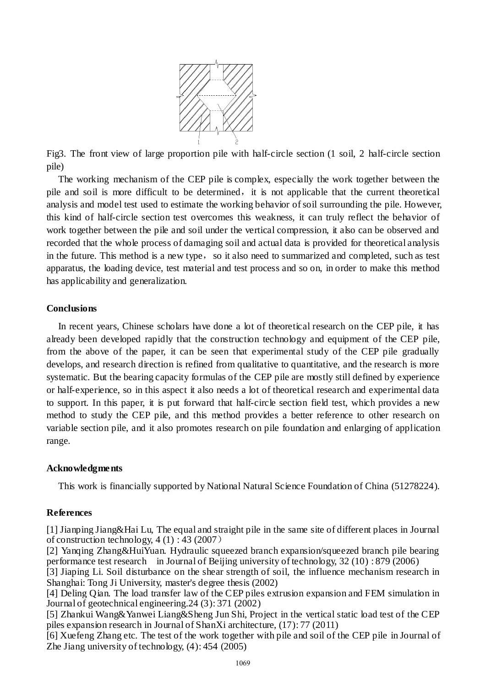

Fig3. The front view of large proportion pile with half-circle section (1 soil, 2 half-circle section pile)

The working mechanism of the CEP pile is complex, especially the work together between the pile and soil is more difficult to be determined, it is not applicable that the current theoretical analysis and model test used to estimate the working behavior of soil surrounding the pile. However, this kind of half-circle section test overcomes this weakness, it can truly reflect the behavior of work together between the pile and soil under the vertical compression, it also can be observed and recorded that the whole process of damaging soil and actual data is provided for theoretical analysis in the future. This method is a new type, so it also need to summarized and completed, such as test apparatus, the loading device, test material and test process and so on, in order to make this method has applicability and generalization.

# **Conclusions**

In recent years, Chinese scholars have done a lot of theoretical research on the CEP pile, it has already been developed rapidly that the construction technology and equipment of the CEP pile, from the above of the paper, it can be seen that experimental study of the CEP pile gradually develops, and research direction is refined from qualitative to quantitative, and the research is more systematic. But the bearing capacity formulas of the CEP pile are mostly still defined by experience or half-experience, so in this aspect it also needs a lot of theoretical research and experimental data to support. In this paper, it is [put](javascript:void(0);) [forward](javascript:void(0);) that half-circle section field test, which provides a new method to study the CEP pile, and this method provides a better reference to other research on variable section pile, and it also promotes research on pile foundation and enlarging of application range.

#### **Acknowledgments**

This work is financially supported by National Natural Science Foundation of China (51278224).

#### **References**

[1] Jianping Jiang&Hai Lu, The equal and straight pile in the same site of different places in Journal of construction technology,  $4(1)$ : 43 (2007)

[2] Yanqing Zhang&HuiYuan. Hydraulic squeezed branch expansion/squeezed branch pile bearing performance test research in Journal of Beijing university of technology, 32 (10) : 879 (2006)

[3] Jiaping Li. Soil disturbance on the shear strength of soil, the influence mechanism research in Shanghai: Tong Ji University, master's degree thesis (2002)

[4] Deling Qian. The load transfer law of the CEP piles extrusion expansion and FEM simulation in Journal of geotechnical engineering.24 (3): 371 (2002)

[5] Zhankui Wang&Yanwei Liang&Sheng Jun Shi, Project in the vertical static load test of the CEP piles expansion research in Journal of ShanXi architecture, (17): 77 (2011)

[6] Xuefeng Zhang etc. The test of the work together with pile and soil of the CEP pile in Journal of Zhe Jiang university of technology, (4): 454 (2005)